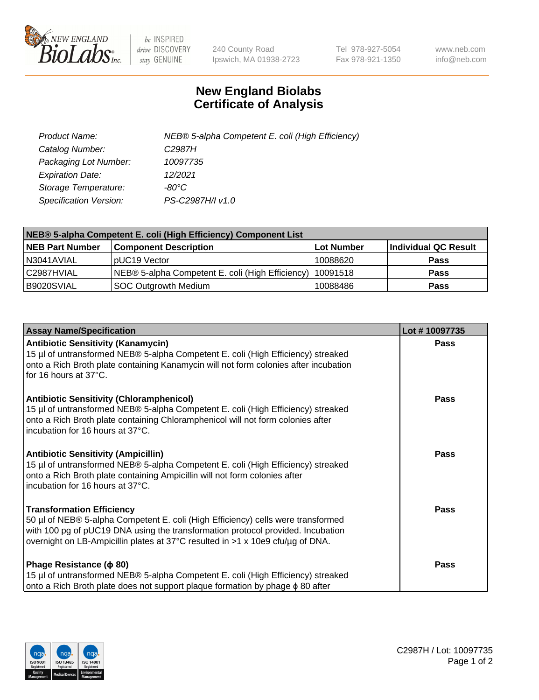

 $be$  INSPIRED drive DISCOVERY stay GENUINE

240 County Road Ipswich, MA 01938-2723 Tel 978-927-5054 Fax 978-921-1350 www.neb.com info@neb.com

## **New England Biolabs Certificate of Analysis**

| Product Name:           | NEB® 5-alpha Competent E. coli (High Efficiency) |
|-------------------------|--------------------------------------------------|
| Catalog Number:         | C <sub>2987</sub> H                              |
| Packaging Lot Number:   | 10097735                                         |
| <b>Expiration Date:</b> | 12/2021                                          |
| Storage Temperature:    | -80°C                                            |
| Specification Version:  | PS-C2987H/I v1.0                                 |

| NEB® 5-alpha Competent E. coli (High Efficiency) Component List |                                                             |            |                      |  |
|-----------------------------------------------------------------|-------------------------------------------------------------|------------|----------------------|--|
| <b>NEB Part Number</b>                                          | <b>Component Description</b>                                | Lot Number | Individual QC Result |  |
| N3041AVIAL                                                      | pUC19 Vector                                                | 10088620   | <b>Pass</b>          |  |
| C2987HVIAL                                                      | NEB® 5-alpha Competent E. coli (High Efficiency)   10091518 |            | <b>Pass</b>          |  |
| B9020SVIAL                                                      | <b>SOC Outgrowth Medium</b>                                 | 10088486   | <b>Pass</b>          |  |

| <b>Assay Name/Specification</b>                                                                                                                                                                                                                                                           | Lot #10097735 |
|-------------------------------------------------------------------------------------------------------------------------------------------------------------------------------------------------------------------------------------------------------------------------------------------|---------------|
| <b>Antibiotic Sensitivity (Kanamycin)</b><br>15 µl of untransformed NEB® 5-alpha Competent E. coli (High Efficiency) streaked<br>onto a Rich Broth plate containing Kanamycin will not form colonies after incubation<br>for 16 hours at 37°C.                                            | Pass          |
| <b>Antibiotic Sensitivity (Chloramphenicol)</b><br>15 µl of untransformed NEB® 5-alpha Competent E. coli (High Efficiency) streaked<br>onto a Rich Broth plate containing Chloramphenicol will not form colonies after<br>incubation for 16 hours at 37°C.                                | Pass          |
| <b>Antibiotic Sensitivity (Ampicillin)</b><br>15 µl of untransformed NEB® 5-alpha Competent E. coli (High Efficiency) streaked<br>onto a Rich Broth plate containing Ampicillin will not form colonies after<br>incubation for 16 hours at 37°C.                                          | <b>Pass</b>   |
| <b>Transformation Efficiency</b><br>50 µl of NEB® 5-alpha Competent E. coli (High Efficiency) cells were transformed<br>with 100 pg of pUC19 DNA using the transformation protocol provided. Incubation<br>overnight on LB-Ampicillin plates at 37°C resulted in >1 x 10e9 cfu/µg of DNA. | <b>Pass</b>   |
| Phage Resistance ( $\phi$ 80)<br>15 µl of untransformed NEB® 5-alpha Competent E. coli (High Efficiency) streaked<br>onto a Rich Broth plate does not support plaque formation by phage $\phi$ 80 after                                                                                   | <b>Pass</b>   |